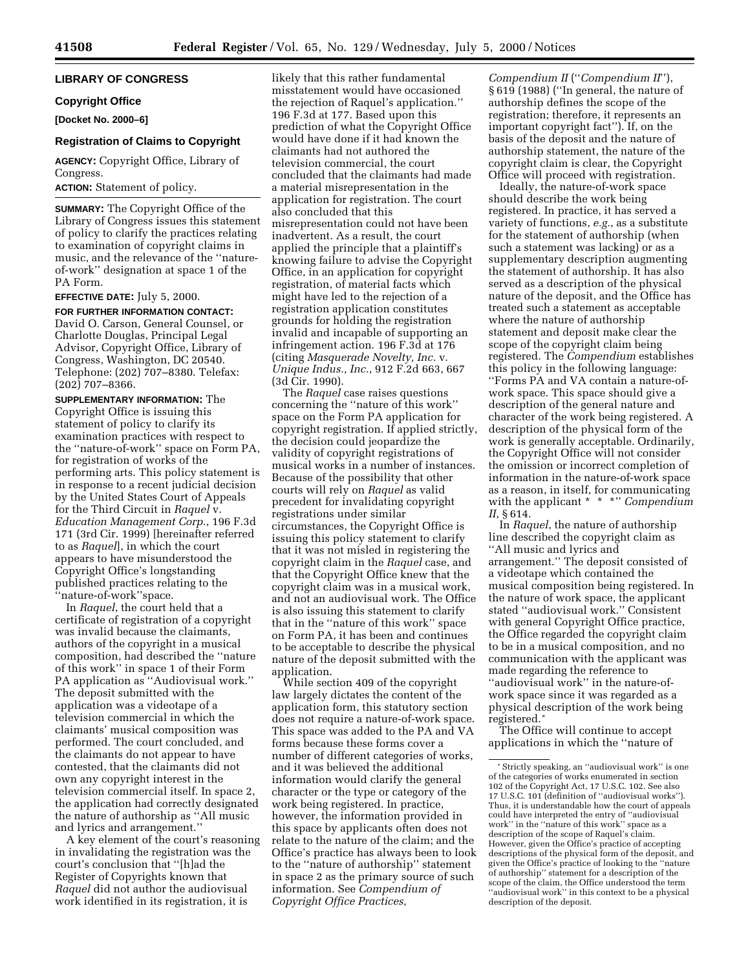# **LIBRARY OF CONGRESS**

#### **Copyright Office**

**[Docket No. 2000–6]**

### **Registration of Claims to Copyright**

**AGENCY:** Copyright Office, Library of Congress.

**ACTION:** Statement of policy.

**SUMMARY:** The Copyright Office of the Library of Congress issues this statement of policy to clarify the practices relating to examination of copyright claims in music, and the relevance of the ''natureof-work'' designation at space 1 of the PA Form.

**EFFECTIVE DATE:** July 5, 2000.

## **FOR FURTHER INFORMATION CONTACT:**

David O. Carson, General Counsel, or Charlotte Douglas, Principal Legal Advisor, Copyright Office, Library of Congress, Washington, DC 20540. Telephone: (202) 707–8380. Telefax: (202) 707–8366.

**SUPPLEMENTARY INFORMATION:** The Copyright Office is issuing this statement of policy to clarify its examination practices with respect to the ''nature-of-work'' space on Form PA, for registration of works of the performing arts. This policy statement is in response to a recent judicial decision by the United States Court of Appeals for the Third Circuit in *Raquel* v. *Education Management Corp.*, 196 F.3d 171 (3rd Cir. 1999) [hereinafter referred to as *Raquel*], in which the court appears to have misunderstood the Copyright Office's longstanding published practices relating to the 'nature-of-work''space.

In *Raquel*, the court held that a certificate of registration of a copyright was invalid because the claimants, authors of the copyright in a musical composition, had described the ''nature of this work'' in space 1 of their Form PA application as ''Audiovisual work.'' The deposit submitted with the application was a videotape of a television commercial in which the claimants' musical composition was performed. The court concluded, and the claimants do not appear to have contested, that the claimants did not own any copyright interest in the television commercial itself. In space 2, the application had correctly designated the nature of authorship as ''All music and lyrics and arrangement.''

A key element of the court's reasoning in invalidating the registration was the court's conclusion that ''[h]ad the Register of Copyrights known that *Raquel* did not author the audiovisual work identified in its registration, it is

likely that this rather fundamental misstatement would have occasioned the rejection of Raquel's application.'' 196 F.3d at 177. Based upon this prediction of what the Copyright Office would have done if it had known the claimants had not authored the television commercial, the court concluded that the claimants had made a material misrepresentation in the application for registration. The court also concluded that this misrepresentation could not have been inadvertent. As a result, the court applied the principle that a plaintiff's knowing failure to advise the Copyright Office, in an application for copyright registration, of material facts which might have led to the rejection of a registration application constitutes grounds for holding the registration invalid and incapable of supporting an infringement action. 196 F.3d at 176 (citing *Masquerade Novelty, Inc.* v. *Unique Indus., Inc.*, 912 F.2d 663, 667 (3d Cir. 1990).

The *Raquel* case raises questions concerning the ''nature of this work'' space on the Form PA application for copyright registration. If applied strictly, the decision could jeopardize the validity of copyright registrations of musical works in a number of instances. Because of the possibility that other courts will rely on *Raquel* as valid precedent for invalidating copyright registrations under similar circumstances, the Copyright Office is issuing this policy statement to clarify that it was not misled in registering the copyright claim in the *Raquel* case, and that the Copyright Office knew that the copyright claim was in a musical work, and not an audiovisual work. The Office is also issuing this statement to clarify that in the ''nature of this work'' space on Form PA, it has been and continues to be acceptable to describe the physical nature of the deposit submitted with the application.

While section 409 of the copyright law largely dictates the content of the application form, this statutory section does not require a nature-of-work space. This space was added to the PA and VA forms because these forms cover a number of different categories of works, and it was believed the additional information would clarify the general character or the type or category of the work being registered. In practice, however, the information provided in this space by applicants often does not relate to the nature of the claim; and the Office's practice has always been to look to the ''nature of authorship'' statement in space 2 as the primary source of such information. See *Compendium of Copyright Office Practices,*

*Compendium II* (''*Compendium II*''), § 619 (1988) (''In general, the nature of authorship defines the scope of the registration; therefore, it represents an important copyright fact''). If, on the basis of the deposit and the nature of authorship statement, the nature of the copyright claim is clear, the Copyright Office will proceed with registration.

Ideally, the nature-of-work space should describe the work being registered. In practice, it has served a variety of functions, *e.g.*, as a substitute for the statement of authorship (when such a statement was lacking) or as a supplementary description augmenting the statement of authorship. It has also served as a description of the physical nature of the deposit, and the Office has treated such a statement as acceptable where the nature of authorship statement and deposit make clear the scope of the copyright claim being registered. The *Compendium* establishes this policy in the following language: ''Forms PA and VA contain a nature-ofwork space. This space should give a description of the general nature and character of the work being registered. A description of the physical form of the work is generally acceptable. Ordinarily, the Copyright Office will not consider the omission or incorrect completion of information in the nature-of-work space as a reason, in itself, for communicating with the applicant \* \* \*'' *Compendium II*, § 614.

In *Raquel*, the nature of authorship line described the copyright claim as ''All music and lyrics and arrangement.'' The deposit consisted of a videotape which contained the musical composition being registered. In the nature of work space, the applicant stated ''audiovisual work.'' Consistent with general Copyright Office practice, the Office regarded the copyright claim to be in a musical composition, and no communication with the applicant was made regarding the reference to ''audiovisual work'' in the nature-ofwork space since it was regarded as a physical description of the work being registered.\*

The Office will continue to accept applications in which the ''nature of

<sup>\*</sup>Strictly speaking, an ''audiovisual work'' is one of the categories of works enumerated in section 102 of the Copyright Act, 17 U.S.C. 102. See also 17 U.S.C. 101 (definition of ''audiovisual works''). Thus, it is understandable how the court of appeals could have interpreted the entry of ''audiovisual work'' in the ''nature of this work'' space as a description of the scope of Raquel's claim. However, given the Office's practice of accepting descriptions of the physical form of the deposit, and given the Office's practice of looking to the ''nature of authorship'' statement for a description of the scope of the claim, the Office understood the term ''audiovisual work'' in this context to be a physical description of the deposit.